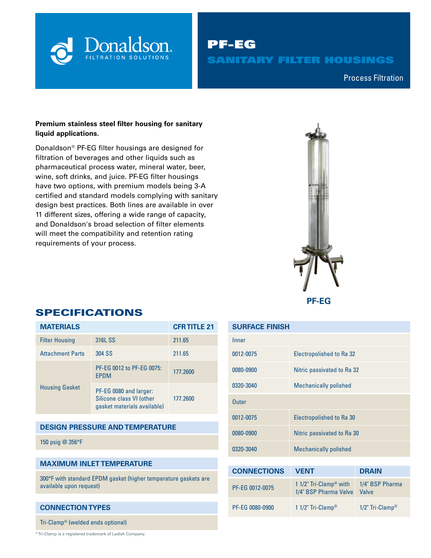

PF-EG SANITARY FILTER HOUSINGS

Compressed Air & Process Filtration Process Filtration

## **Premium stainless steel filter housing for sanitary liquid applications.**

Donaldson® PF-EG filter housings are designed for filtration of beverages and other liquids such as pharmaceutical process water, mineral water, beer, wine, soft drinks, and juice. PF-EG filter housings have two options, with premium models being 3-A certified and standard models complying with sanitary design best practices. Both lines are available in over 11 different sizes, offering a wide range of capacity, and Donaldson's broad selection of filter elements will meet the compatibility and retention rating requirements of your process.



# **MATERIALS CFR TITLE 21**

SPECIFICATIONS

| <b>Filter Housing</b>   | 316L SS                                                                           | 211.65   |  |  |
|-------------------------|-----------------------------------------------------------------------------------|----------|--|--|
| <b>Attachment Parts</b> | 304 SS                                                                            | 211.65   |  |  |
| <b>Housing Gasket</b>   | PF-EG 0012 to PF-EG 0075:<br><b>FPDM</b>                                          | 177.2600 |  |  |
|                         | PF-EG 0080 and larger:<br>Silicone class VI (other<br>gasket materials available) | 177.2600 |  |  |

### **DESIGN PRESSURE AND TEMPERATURE**

150 psig @ 356°F

#### **MAXIMUM INLET TEMPERATURE**

300°F with standard EPDM gasket (higher temperature gaskets are available upon request)

#### **CONNECTION TYPES**

Tri-Clamp® (welded ends optional)

\* Tri-Clamp is a registered trademark of Ladish Company.

| <b>SURFACE FINISH</b> |                                   |                          |  |  |  |  |  |
|-----------------------|-----------------------------------|--------------------------|--|--|--|--|--|
| Inner                 |                                   |                          |  |  |  |  |  |
| 0012-0075             | <b>Electropolished to Ra 32</b>   |                          |  |  |  |  |  |
| 0080-0900             | Nitric passivated to Ra 32        |                          |  |  |  |  |  |
| 0320-3040             | <b>Mechanically polished</b>      |                          |  |  |  |  |  |
| <b>Outer</b>          |                                   |                          |  |  |  |  |  |
| 0012-0075             | <b>Electropolished to Ra 30</b>   |                          |  |  |  |  |  |
| 0080-0900             | Nitric passivated to Ra 30        |                          |  |  |  |  |  |
| 0320-3040             | <b>Mechanically polished</b>      |                          |  |  |  |  |  |
|                       |                                   |                          |  |  |  |  |  |
| <b>CONNECTIONS</b>    | <b>VENT</b><br><b>DRAIN</b>       |                          |  |  |  |  |  |
|                       | 1 1/2" $Tri_C _{\text{2mn}}$ with | $1/\lambda$ " RCD Pharma |  |  |  |  |  |

| PF-EG 0012-0075 | 1 $1/2$ " Tri-Clamp® with<br>1/4" BSP Pharma Valve | 1/4" BSP Pharma<br><b>Valve</b> |
|-----------------|----------------------------------------------------|---------------------------------|
| PF-EG 0080-0900 | 1 1/2" Tri-Clamp®                                  | $1/2$ " Tri-Clamp®              |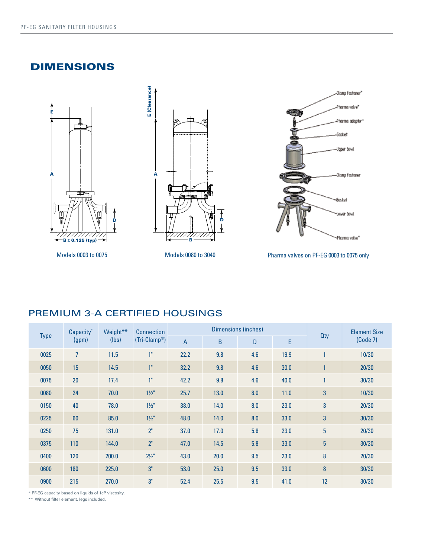# DIMENSIONS







Models 0003 to 0075 Models 0080 to 3040

Pharma valves on PF-EG 0003 to 0075 only

# PREMIUM 3-A CERTIFIED HOUSINGS

| Capacity <sup>*</sup><br><b>Type</b><br>(gpm) | Weight**<br>(lbs) | <b>Connection</b><br>$(Tri-Clamp®)$ | <b>Dimensions (inches)</b> |      |      |     |            | <b>Element Size</b> |       |
|-----------------------------------------------|-------------------|-------------------------------------|----------------------------|------|------|-----|------------|---------------------|-------|
|                                               |                   |                                     | $\overline{A}$             | B    | D    | E   | <b>Qty</b> | (Code 7)            |       |
| 0025                                          | $\overline{7}$    | 11.5                                | 1"                         | 22.2 | 9.8  | 4.6 | 19.9       |                     | 10/30 |
| 0050                                          | 15                | 14.5                                | 1 <sup>n</sup>             | 32.2 | 9.8  | 4.6 | 30.0       |                     | 20/30 |
| 0075                                          | 20                | 17.4                                | 1 <sup>0</sup>             | 42.2 | 9.8  | 4.6 | 40.0       |                     | 30/30 |
| 0080                                          | 24                | 70.0                                | $1\frac{1}{2}$             | 25.7 | 13.0 | 8.0 | 11.0       | $\mathbf{3}$        | 10/30 |
| 0150                                          | 40                | 78.0                                | $1\frac{1}{2}$             | 38.0 | 14.0 | 8.0 | 23.0       | 3                   | 20/30 |
| 0225                                          | 60                | 85.0                                | $1\frac{1}{2}$             | 48.0 | 14.0 | 8.0 | 33.0       | $\overline{3}$      | 30/30 |
| 0250                                          | 75                | 131.0                               | $2"$                       | 37.0 | 17.0 | 5.8 | 23.0       | $5\phantom{.0}$     | 20/30 |
| 0375                                          | 110               | 144.0                               | 2"                         | 47.0 | 14.5 | 5.8 | 33.0       | $5\phantom{.}$      | 30/30 |
| 0400                                          | 120               | 200.0                               | $2\frac{1}{2}$             | 43.0 | 20.0 | 9.5 | 23.0       | 8                   | 20/30 |
| 0600                                          | 180               | 225.0                               | 3"                         | 53.0 | 25.0 | 9.5 | 33.0       | 8                   | 30/30 |
| 0900                                          | 215               | 270.0                               | 3"                         | 52.4 | 25.5 | 9.5 | 41.0       | 12                  | 30/30 |

\* PF-EG capacity based on liquids of 1cP viscosity.

\*\* Without filter element, legs included.